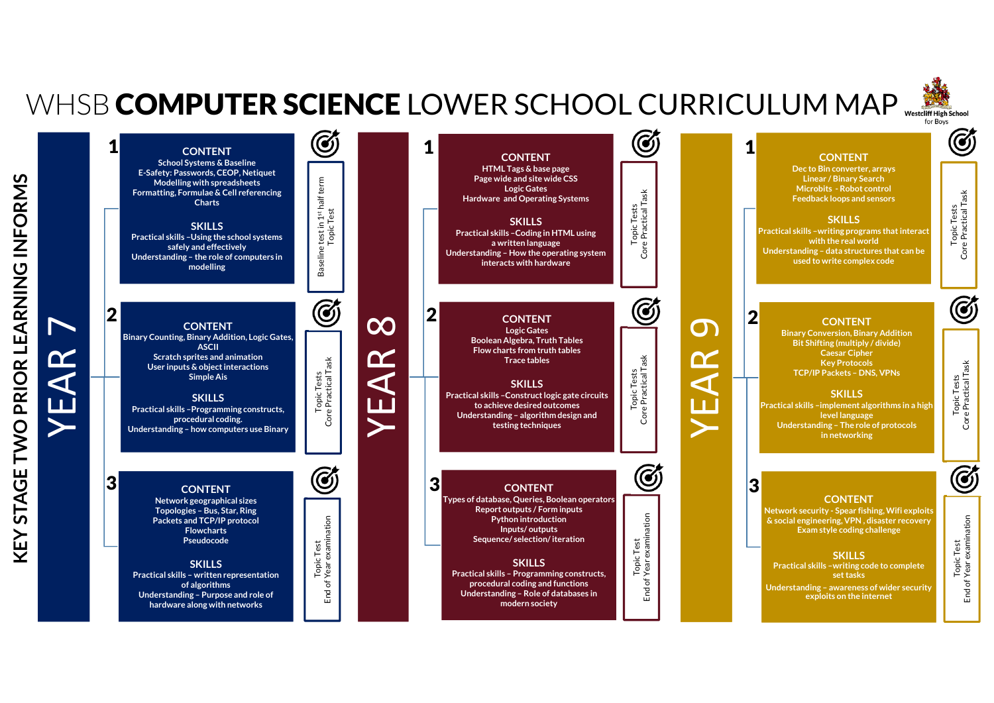## WHSB **COMPUTER SCIENCE** LOWER SCHOOL CURRICULUM MAP

**Understanding – Role of databases in modern society**

Core Practical Task

Core Practical Task

End of Year examination





**Understanding – Purpose and role of hardware along with networks**

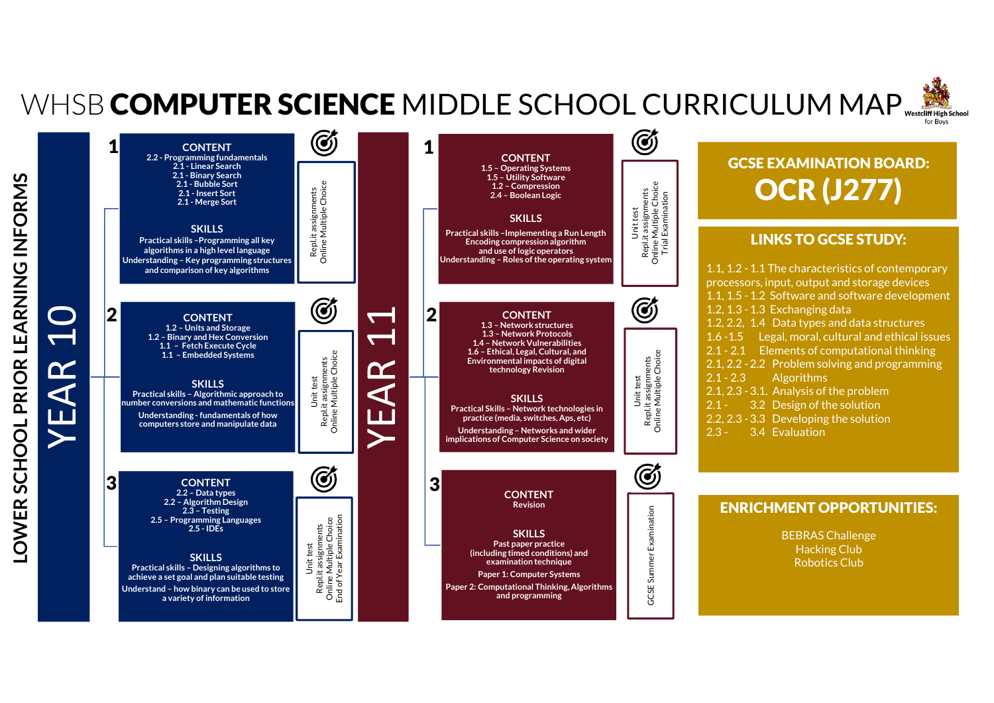## WHSB **COMPUTER SCIENCE** MIDDLE SCHOOL CURRICULUM MAP